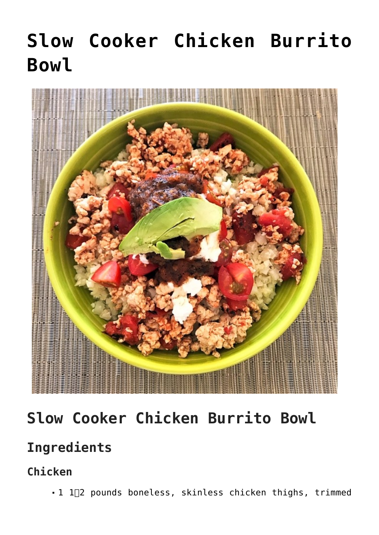# **[Slow Cooker Chicken Burrito](https://alethiatruefit.com/recipes/main-courses/recipes-main-course-slow-cooker-chicken-burrito-bowl/) [Bowl](https://alethiatruefit.com/recipes/main-courses/recipes-main-course-slow-cooker-chicken-burrito-bowl/)**



# **Slow Cooker Chicken Burrito Bowl**

### **Ingredients**

**Chicken**

■ 1 1<sup>1</sup>2 pounds boneless, skinless chicken thighs, trimmed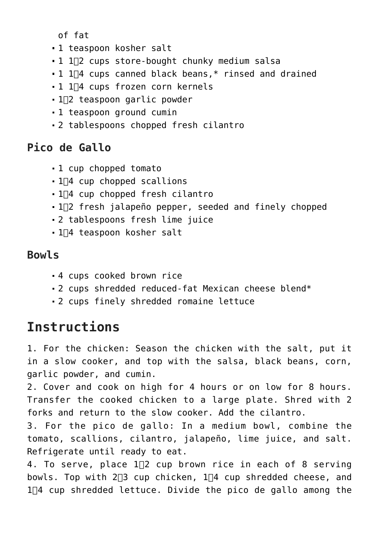of fat

- 1 teaspoon kosher salt
- 1 1∏2 cups store-bought chunky medium salsa
- 1 1∏4 cups canned black beans, \* rinsed and drained
- 1 1∏4 cups frozen corn kernels
- 1∏2 teaspoon garlic powder
- 1 teaspoon ground cumin
- 2 tablespoons chopped fresh cilantro

#### **Pico de Gallo**

- 1 cup chopped tomato
- $\blacksquare$  1 $\Box$ 4 cup chopped scallions
- $-1$ <sup> $-1$ </sup> cup chopped fresh cilantro
- $-1$ <sup>2</sup> fresh jalapeño pepper, seeded and finely chopped
- 2 tablespoons fresh lime juice
- 1∏4 teaspoon kosher salt

#### **Bowls**

- 4 cups cooked brown rice
- 2 cups shredded reduced-fat Mexican cheese blend\*
- 2 cups finely shredded romaine lettuce

## **Instructions**

1. For the chicken: Season the chicken with the salt, put it in a slow cooker, and top with the salsa, black beans, corn, garlic powder, and cumin.

2. Cover and cook on high for 4 hours or on low for 8 hours. Transfer the cooked chicken to a large plate. Shred with 2 forks and return to the slow cooker. Add the cilantro.

3. For the pico de gallo: In a medium bowl, combine the tomato, scallions, cilantro, jalapeño, lime juice, and salt. Refrigerate until ready to eat.

4. To serve, place  $1\Box 2$  cup brown rice in each of 8 serving bowls. Top with  $2\Box 3$  cup chicken,  $1\Box 4$  cup shredded cheese, and  $1\overline{4}$  cup shredded lettuce. Divide the pico de gallo among the